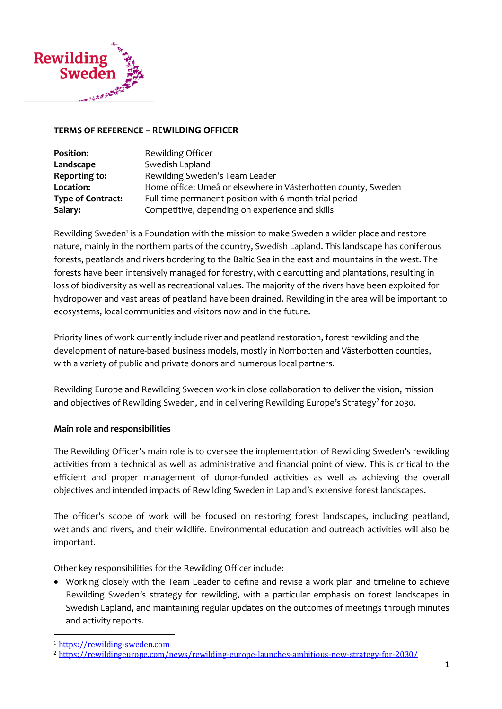

## **TERMS OF REFERENCE – REWILDING OFFICER**

| <b>Position:</b>         | Rewilding Officer                                             |
|--------------------------|---------------------------------------------------------------|
| Landscape                | Swedish Lapland                                               |
| Reporting to:            | Rewilding Sweden's Team Leader                                |
| Location:                | Home office: Umeå or elsewhere in Västerbotten county, Sweden |
| <b>Type of Contract:</b> | Full-time permanent position with 6-month trial period        |
| Salary:                  | Competitive, depending on experience and skills               |

Rewilding Sweden<sup>1</sup> is a Foundation with the mission to make Sweden a wilder place and restore nature, mainly in the northern parts of the country, Swedish Lapland. This landscape has coniferous forests, peatlands and rivers bordering to the Baltic Sea in the east and mountains in the west. The forests have been intensively managed for forestry, with clearcutting and plantations, resulting in loss of biodiversity as well as recreational values. The majority of the rivers have been exploited for hydropower and vast areas of peatland have been drained. Rewilding in the area will be important to ecosystems, local communities and visitors now and in the future.

Priority lines of work currently include river and peatland restoration, forest rewilding and the development of nature-based business models, mostly in Norrbotten and Västerbotten counties, with a variety of public and private donors and numerous local partners.

Rewilding Europe and Rewilding Sweden work in close collaboration to deliver the vision, mission and objectives of Rewilding Sweden, and in delivering Rewilding Europe's Strategy<sup>2</sup> for 2030.

## **Main role and responsibilities**

The Rewilding Officer's main role is to oversee the implementation of Rewilding Sweden's rewilding activities from a technical as well as administrative and financial point of view. This is critical to the efficient and proper management of donor-funded activities as well as achieving the overall objectives and intended impacts of Rewilding Sweden in Lapland's extensive forest landscapes.

The officer's scope of work will be focused on restoring forest landscapes, including peatland, wetlands and rivers, and their wildlife. Environmental education and outreach activities will also be important.

Other key responsibilities for the Rewilding Officer include:

• Working closely with the Team Leader to define and revise a work plan and timeline to achieve Rewilding Sweden's strategy for rewilding, with a particular emphasis on forest landscapes in Swedish Lapland, and maintaining regular updates on the outcomes of meetings through minutes and activity reports.

<sup>1</sup> [https://rewilding-sweden.com](https://rewilding-sweden.com/)

<sup>2</sup> <https://rewildingeurope.com/news/rewilding-europe-launches-ambitious-new-strategy-for-2030/>